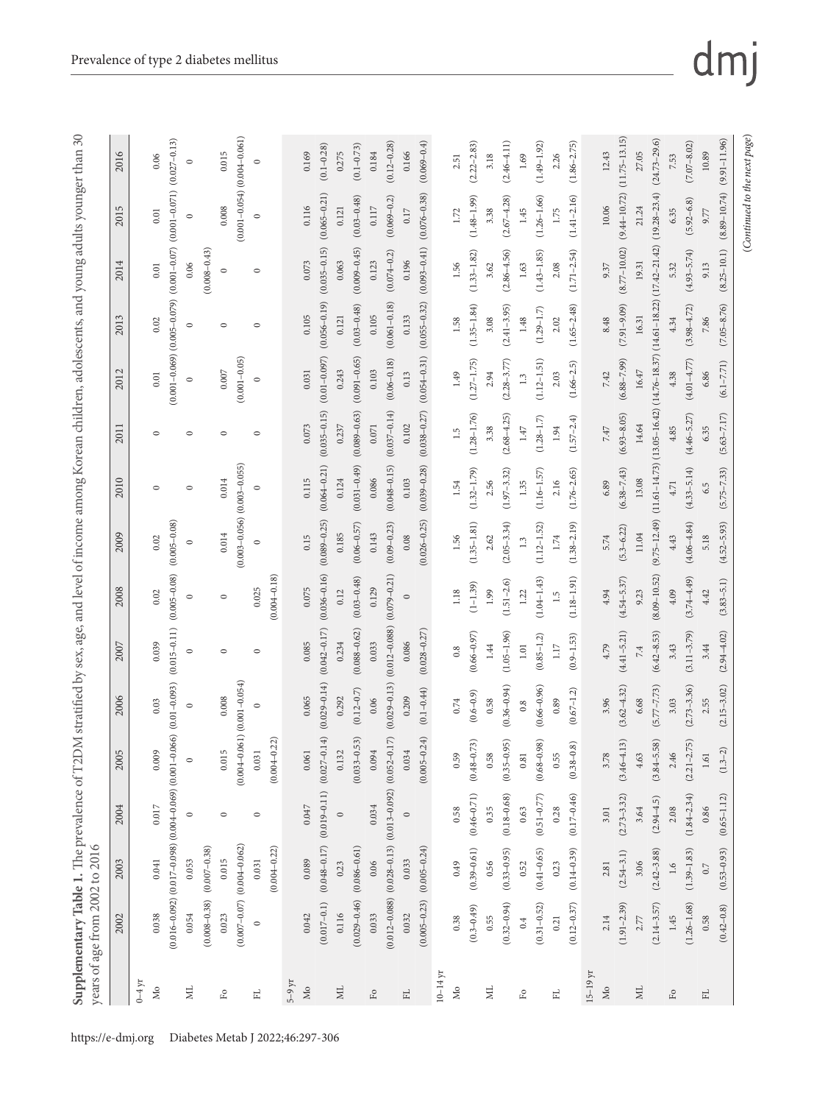|                   | $0\text{--}4\,\mathrm{yr}$ | $\rm Mo$  |                                                                         | $\Xi$   |                  | $\mathbb{E}$ |                                     | $\mathbb{H}$ |                  | $5-9 \,\mathrm{yr}$ | $\rm M_{O}$ |                  | <b>Z</b> |                  | $\rm _{F0}$ |                                    | $\mathbb{H}$ |                  | $10-14$ yr | $\rm M_{O}$ |                      | <b>Z</b> |                      | $\mathbb{F}^{\textnormal{o}}$ |                      | $\mathbb{H}$ |                 | $15-19$ yr | $\rm M_{0}$ |                   | <b>Z</b> |                                                   | $\mathbb{F}^\mathrm{o}$ |                 |
|-------------------|----------------------------|-----------|-------------------------------------------------------------------------|---------|------------------|--------------|-------------------------------------|--------------|------------------|---------------------|-------------|------------------|----------|------------------|-------------|------------------------------------|--------------|------------------|------------|-------------|----------------------|----------|----------------------|-------------------------------|----------------------|--------------|-----------------|------------|-------------|-------------------|----------|---------------------------------------------------|-------------------------|-----------------|
| 2002              |                            | 0.038     |                                                                         | 0.054   | $(0.008 - 0.38)$ | 0.023        |                                     | $\circ$      |                  |                     | 0.042       | $(0.017 - 0.1)$  | 0.116    | $(0.029 - 0.46)$ | 0.033       | $(0.012 - 0.088)$                  | 0.032        | $(0.005 - 0.23)$ |            | 0.38        | $(0.3 - 0.49)$       | 0.55     | $(0.32 - 0.94)$      | 0.4                           | $(0.31 - 0.52)$      | 0.21         | $(0.12 - 0.37)$ |            | 2.14        | $(1.91 - 2.39)$   | 2.77     | $(2.14 - 3.57)$                                   | $1.45\,$                | $(1.26 - 1.68)$ |
| 2003              |                            | 0.041     | $(0.016 - 0.092)$ $(0.017 - 0.098)$ $(0.004 - 0.069)$ $(0.001 - 0.001)$ | 0.053   | $(0.007 - 0.38)$ | 0.015        | $(0.007 - 0.07)$ $(0.004 - 0.062)$  | 0.031        | $(0.004 - 0.22)$ |                     | 0.089       | $(0.048 - 0.17)$ | 0.23     | $(0.086 - 0.61)$ | 0.06        |                                    | 0.033        | $(0.005 - 0.24)$ |            | 0.49        | $(0.39 - 0.61)$      | 0.56     | $(0.33 - 0.95)$      | 0.52                          | $(0.41 - 0.65)$      | 0.23         | $(0.14 - 0.39)$ |            | 2.81        | $(2.54 - 3.1)$    | 3.06     | $(2.42 - 3.88)$                                   | 1.6                     | $(1.39 - 1.83)$ |
| 2004              |                            | $0.017\,$ |                                                                         | $\circ$ |                  | $\circ$      |                                     | $\circ$      |                  |                     | 0.047       | $(0.019 - 0.11)$ | $\circ$  |                  | 0.034       | $(0.028 - 0.13)$ $(0.013 - 0.092)$ | $\circ$      |                  |            | 0.58        | $(0.46 - 0.71)$      | 0.35     | $(0.18 - 0.68)$      | 0.63                          | $(0.51 - 0.77)$      | 0.28         | $(0.17 - 0.46)$ |            | 3.01        | $(2.73 - 3.32)$   | 3.64     | $(2.94 - 4.5)$                                    | $2.08$                  | $(1.84 - 2.34)$ |
| $\sqrt{2}$<br>200 |                            | 0.009     |                                                                         | $\circ$ |                  | 0.015        | $(0.004 - 0.$                       | 0.031        | $(0.004 - 0.22)$ |                     | 0.061       | $(0.027 - 0.14)$ | 0.132    | $(0.033 - 0.53)$ | 0.094       | $(0.052 - 0.17)$                   | 0.034        | $(0.005 - 0.24)$ |            | 0.59        | (73)<br>$(0.48 - 0.$ | 0.58     | (35)<br>$(0.35 - 0.$ | 0.81                          | (98)<br>$(0.68 - 0.$ | 0.55         | $(0.38 - 0.8)$  |            | 3.78        | $(3.46 - 4.13)$   | 4.63     | (85)<br>$(3.84 - 5.$                              | 2.46                    | $(2.21 - 2.75)$ |
| 2006              |                            | 0.03      | $.066)$ $(0.01 - 0.093)$                                                | $\circ$ |                  | 0.008        | $.061)$ $(0.001 - 0.054)$           | $\circ$      |                  |                     | 0.065       | $(0.029 - 0.14)$ | 0.292    | $(0.12 - 0.7)$   | 0.06        | $(0.029 - 0.13)$                   | 0.209        | $(0.1 - 0.44)$   |            | 0.74        | $(0.6 - 0.9)$        | 0.58     | $(0.36 - 0.94)$      | 0.8                           | $(0.66 - 0.96)$      | 0.89         | $(0.67 - 1.2)$  |            | 3.96        | $(3.62 - 4.32)$   | 6.68     | $(5.77 - 7.73)$                                   | 3.03                    | $(2.73 - 3.36)$ |
| 2007              |                            | 0.039     | $(0.015 - 0.11)$                                                        | $\circ$ |                  | $\circ$      |                                     | $\circ$      |                  |                     | 0.085       | $(0.042 - 0.17)$ | 0.234    | $(0.088 - 0.62)$ | 0.033       | $(0.012 - 0.088)$                  | 0.086        | $(0.028 - 0.27)$ |            | 0.8         | $(0.66 - 0.97)$      | 1.44     | $(1.05 - 1.96)$      | $1.01\,$                      | $(0.85 - 1.2)$       | 1.17         | $(0.9 - 1.53)$  |            | 4.79        | $(4.41 - 5.21)$   | 7.4      | $(6.42 - 8.53)$                                   | 3.43                    | $(3.11 - 3.79)$ |
| 2008              |                            | 0.02      | $(0.005 - 0.08)$                                                        | $\circ$ |                  | $\circ$      |                                     | 0.025        | $(0.004 - 0.18)$ |                     | 0.075       | $(0.036 - 0.16)$ | 0.12     | $(0.03 - 0.48)$  | 0.129       | $(0.079 - 0.21)$                   | $\circ$      |                  |            | 1.18        | $(1 - 1.39)$         | 1.99     | $(1.51 - 2.6)$       | 1.22                          | $(1.04 - 1.43)$      | 1.5          | $(1.18 - 1.91)$ |            | 4.94        | $(4.54 - 5.37)$   | 9.23     | $(8.09 - 10.52)$                                  | 4.09                    | $(3.74 - 4.49)$ |
| 2009              |                            | 0.02      | $(0.005 - 0.08)$                                                        | $\circ$ |                  | 0.014        |                                     | $\circ$      |                  |                     | 0.15        | $(0.089 - 0.25)$ | 0.185    | $(0.06 - 0.57)$  | 0.143       | $(0.09 - 0.23)$                    | 0.08         | $(0.026 - 0.25)$ |            | 1.56        | $(1.35 - 1.81)$      | 2.62     | $(2.05 - 3.34)$      | 1.3                           | $(1.12 - 1.52)$      | $1.74\,$     | $(1.38 - 2.19)$ |            | 5.74        | $(5.3 - 6.22)$    | 11.04    | $(9.75 - 12.49)$                                  | 4.43                    | $(4.06 - 4.84)$ |
| 2010              |                            | $\circ$   |                                                                         | $\circ$ |                  | 0.014        | $(0.003 - 0.056)$ $(0.003 - 0.055)$ | $\circ$      |                  |                     | 0.115       | $(0.064 - 0.21)$ | 0.124    | $(0.031 - 0.49)$ | 0.086       | $(0.048 - 0.15)$                   | 0.103        | $(0.039 - 0.28)$ |            | 1.54        | $(1.32 - 1.79)$      | 2.56     | $(1.97 - 3.32)$      | 1.35                          | $(1.16 - 1.57)$      | 2.16         | $(1.76 - 2.65)$ |            | 6.89        | $(6.38 - 7.43)$   | 13.08    |                                                   | 4.71                    | $(4.33 - 5.14)$ |
| 2011              |                            | $\circ$   |                                                                         | $\circ$ |                  | $\circ$      |                                     |              |                  |                     | 0.073       | $(0.035 - 0.15)$ | 0.237    | $(0.089 - 0.63)$ | 0.071       | $(0.037 - 0.14)$                   | 0.102        | $(0.038 - 0.27)$ |            | 1.5         | $(1.28 - 1.76)$      | 3.38     | $(2.68 - 4.25)$      | $1.47\,$                      | $(1.28 - 1.7)$       | 1.94         | $(1.57 - 2.4)$  |            | 7.47        | $(6.93 - 8.05)$   | 14.64    |                                                   | 4.85                    | $(4.46 - 5.27)$ |
| 2012              |                            | 0.01      |                                                                         | $\circ$ |                  | $0.007\,$    | $(0.001 - 0.05)$                    | $\circ$      |                  |                     | 0.031       | $(0.01 - 0.097)$ | 0.243    | $(0.091 - 0.65)$ | 0.103       | $(0.06 - 0.18)$                    | 0.13         | $(0.054 - 0.31)$ |            | 1.49        | $(1.27 - 1.75)$      | 2.94     | $(2.28 - 3.77)$      | 1.3                           | $(1.12 - 1.51)$      | 2.03         | $(1.66 - 2.5)$  |            | 7.42        | $(6.88 - 7.99)$   | $16.47$  | $(11.61 - 14.73) (13.05 - 16.42) (14.76 - 18.37)$ | 4.38                    | $(4.01 - 4.77)$ |
| 2013              |                            | 0.02      | $(0.001 - 0.069)$ $(0.005 - 0.079)$                                     | $\circ$ |                  | 0            |                                     | $\circ$      |                  |                     | 0.105       | $(0.056 - 0.19)$ | 0.121    | $(0.03 - 0.48)$  | 0.105       | $(0.061 - 0.18)$                   | 0.133        | $(0.055 - 0.32)$ |            | 1.58        | $(1.35 - 1.84)$      | 3.08     | $(2.41 - 3.95)$      | 1.48                          | $(1.29 - 1.7)$       | 2.02         | $(1.65 - 2.48)$ |            | 8.48        | $(7.91 - 9.09)$   | 16.31    | $(14.61 - 18.22) (17.42 - 21.42)$                 | 4.34                    | $(3.98 - 4.72)$ |
| 2014              |                            | 0.01      | $(0.001 - 0.07)$                                                        | 0.06    | $(0.008 - 0.43)$ | $\circ$      |                                     | $\circ$      |                  |                     | 0.073       | $(0.035 - 0.15)$ | 0.063    | $(0.009 - 0.45)$ | 0.123       | $(0.074 - 0.2)$                    | 0.196        | $(0.093 - 0.41)$ |            | 1.56        | $(1.33 - 1.82)$      | 3.62     | $(2.86 - 4.56)$      | 1.63                          | $(1.43 - 1.85)$      | 2.08         | $(1.71 - 2.54)$ |            | 9.37        | $(8.77 - 10.02)$  | 19.31    |                                                   | 5.32                    | $(4.93 - 5.74)$ |
| 2015              |                            | 0.01      | $(0.001 - 0.071)$                                                       | $\circ$ |                  | 0.008        | $(0.001 - 0.054)$ $(0.004 - 0.061)$ | $\circ$      |                  |                     | 0.116       | $(0.065 - 0.21)$ | 0.121    | $(0.03 - 0.48)$  | 0.117       | $(0.069 - 0.2)$                    | 0.17         | $(0.076 - 0.38)$ |            | 1.72        | $(1.48 - 1.99)$      | 3.38     | $(2.67 - 4.28)$      | $1.45$                        | $(1.26 - 1.66)$      | 1.75         | $(1.41 - 2.16)$ |            | 10.06       | $(9.44 - 10.72)$  | 21.24    | $(19.28 - 23.4)$                                  | 6.35                    | $(5.92 - 6.8)$  |
| 2016              |                            | 0.06      | $(0.027 - 0.13)$                                                        | $\circ$ |                  | 0.015        |                                     | $\circ$      |                  |                     | 0.169       | $(0.1 - 0.28)$   | 0.275    | $(0.1 - 0.73)$   | 0.184       | $(0.12 - 0.28)$                    | 0.166        | $(0.069 - 0.4)$  |            | 2.51        | $(2.22 - 2.83)$      | 3.18     | $(2.46 - 4.11)$      | 1.69                          | $(1.49 - 1.92)$      | 2.26         | $(1.86 - 2.75)$ |            | 12.43       | $(11.75 - 13.15)$ | 27.05    | $(24.73 - 29.6)$                                  | 7.53                    | $(7.07 - 8.02)$ |

## dmj

(*Continued to the next page*)

 $\left( {Continued\,to\,the\,next\,page} \right)$